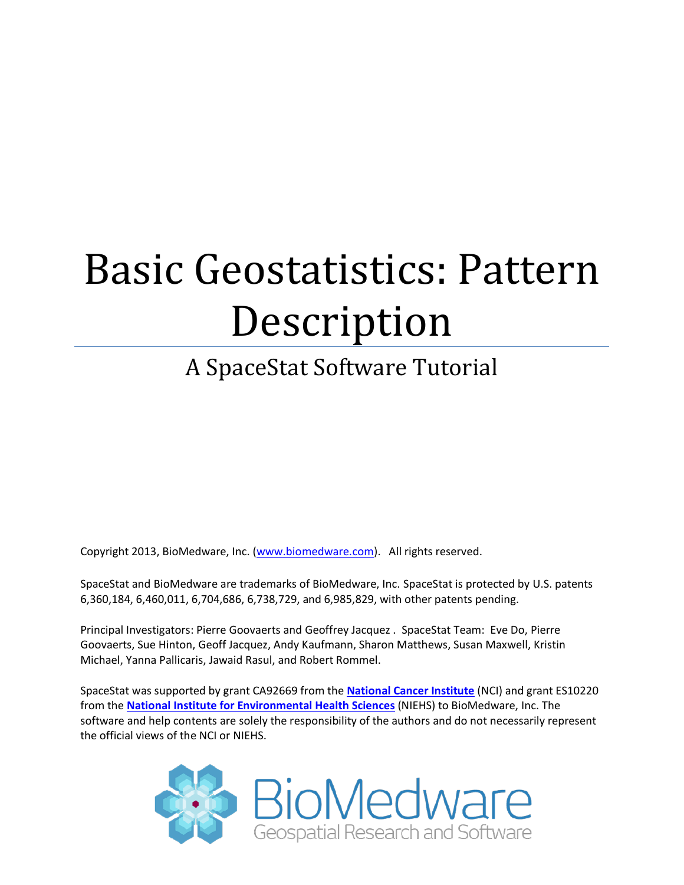# Basic Geostatistics: Pattern Description

# A SpaceStat Software Tutorial

Copyright 2013, BioMedware, Inc. [\(www.biomedware.com\)](http://www.biomedware.com/). All rights reserved.

SpaceStat and BioMedware are trademarks of BioMedware, Inc. SpaceStat is protected by U.S. patents 6,360,184, 6,460,011, 6,704,686, 6,738,729, and 6,985,829, with other patents pending.

Principal Investigators: Pierre Goovaerts and Geoffrey Jacquez . SpaceStat Team: Eve Do, Pierre Goovaerts, Sue Hinton, Geoff Jacquez, Andy Kaufmann, Sharon Matthews, Susan Maxwell, Kristin Michael, Yanna Pallicaris, Jawaid Rasul, and Robert Rommel.

SpaceStat was supported by grant CA92669 from the **[National Cancer Institute](http://www.nci.nih.gov/)** (NCI) and grant ES10220 from the **[National Institute for Environmental Health Sciences](http://www.niehs.nih.gov/)** (NIEHS) to BioMedware, Inc. The software and help contents are solely the responsibility of the authors and do not necessarily represent the official views of the NCI or NIEHS.

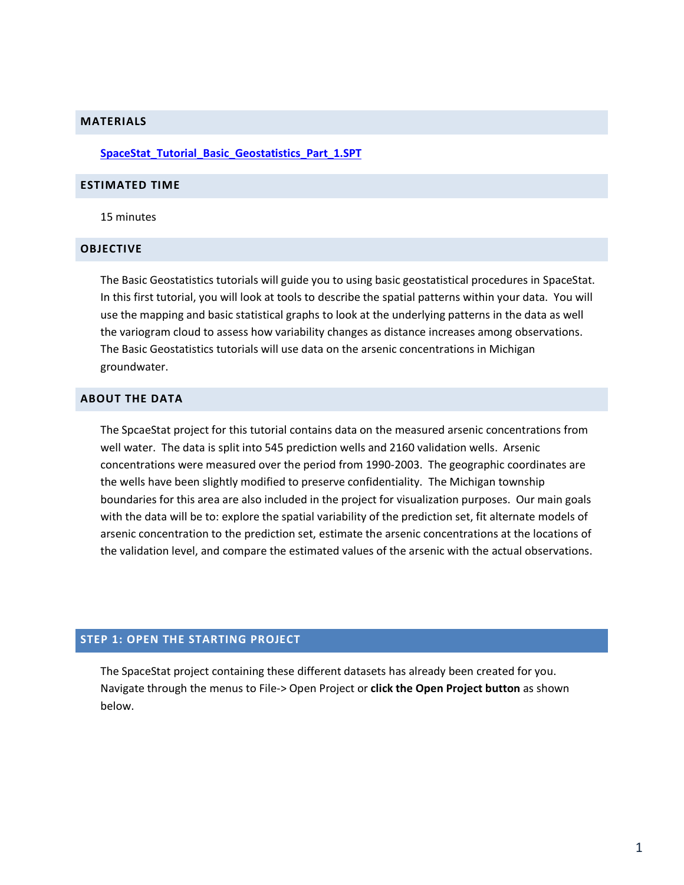#### **MATERIALS**

#### **[SpaceStat\\_Tutorial\\_Basic\\_Geostatistics\\_Part\\_1.SPT](http://www.biomedware.com/subdomains/biomed/files/tutorials/BasicGeostatisticsPart1/SpaceStat_Tutorial_Basic_Geostatistics_Part_1.spt)**

#### **ESTIMATED TIME**

15 minutes

#### **OBJECTIVE**

The Basic Geostatistics tutorials will guide you to using basic geostatistical procedures in SpaceStat. In this first tutorial, you will look at tools to describe the spatial patterns within your data. You will use the mapping and basic statistical graphs to look at the underlying patterns in the data as well the variogram cloud to assess how variability changes as distance increases among observations. The Basic Geostatistics tutorials will use data on the arsenic concentrations in Michigan groundwater.

#### **ABOUT THE DATA**

The SpcaeStat project for this tutorial contains data on the measured arsenic concentrations from well water. The data is split into 545 prediction wells and 2160 validation wells. Arsenic concentrations were measured over the period from 1990-2003. The geographic coordinates are the wells have been slightly modified to preserve confidentiality. The Michigan township boundaries for this area are also included in the project for visualization purposes. Our main goals with the data will be to: explore the spatial variability of the prediction set, fit alternate models of arsenic concentration to the prediction set, estimate the arsenic concentrations at the locations of the validation level, and compare the estimated values of the arsenic with the actual observations.

# **STEP 1: OPEN THE STARTING PROJECT**

The SpaceStat project containing these different datasets has already been created for you. Navigate through the menus to File-> Open Project or **click the Open Project button** as shown below.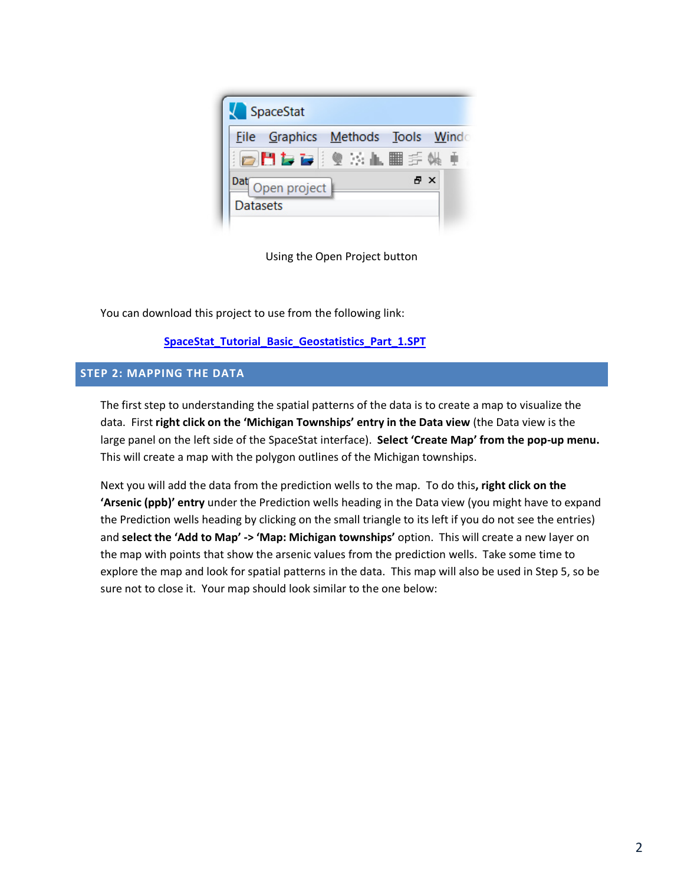

Using the Open Project button

You can download this project to use from the following link:

# **[SpaceStat\\_Tutorial\\_Basic\\_Geostatistics\\_Part\\_1.SPT](http://www.biomedware.com/subdomains/biomed/files/tutorials/BasicGeostatisticsPart1/SpaceStat_Tutorial_Basic_Geostatistics_Part_1.spt)**

### **STEP 2: MAPPING THE DATA**

The first step to understanding the spatial patterns of the data is to create a map to visualize the data. First **right click on the 'Michigan Townships' entry in the Data view** (the Data view is the large panel on the left side of the SpaceStat interface). **Select 'Create Map' from the pop-up menu.** This will create a map with the polygon outlines of the Michigan townships.

Next you will add the data from the prediction wells to the map. To do this**, right click on the 'Arsenic (ppb)' entry** under the Prediction wells heading in the Data view (you might have to expand the Prediction wells heading by clicking on the small triangle to its left if you do not see the entries) and **select the 'Add to Map' -> 'Map: Michigan townships'** option. This will create a new layer on the map with points that show the arsenic values from the prediction wells. Take some time to explore the map and look for spatial patterns in the data. This map will also be used in Step 5, so be sure not to close it. Your map should look similar to the one below: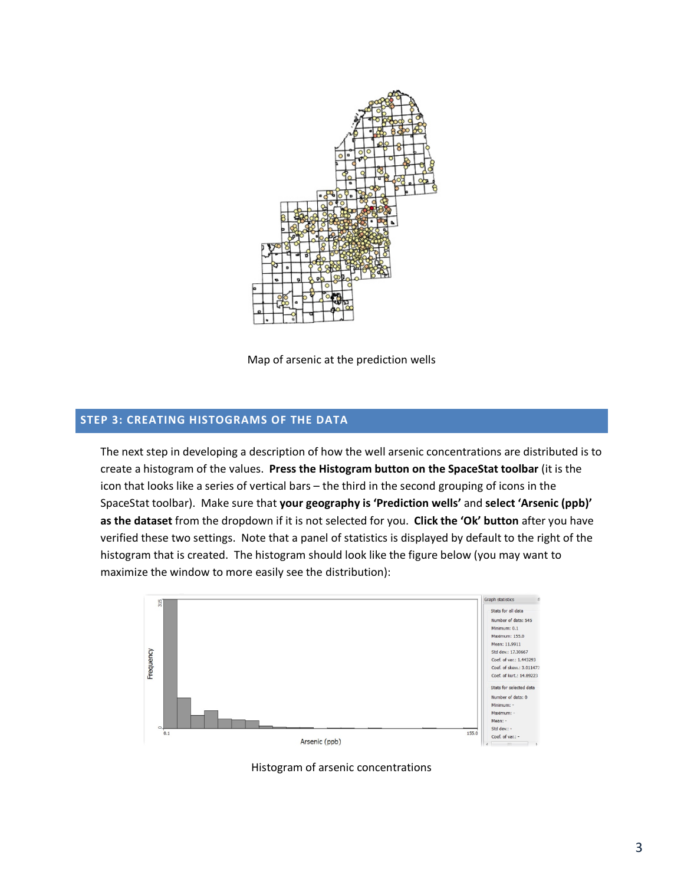

Map of arsenic at the prediction wells

## **STEP 3: CREATING HISTOGRAMS OF THE DATA**

The next step in developing a description of how the well arsenic concentrations are distributed is to create a histogram of the values. **Press the Histogram button on the SpaceStat toolbar** (it is the icon that looks like a series of vertical bars – the third in the second grouping of icons in the SpaceStat toolbar). Make sure that **your geography is 'Prediction wells'** and **select 'Arsenic (ppb)' as the dataset** from the dropdown if it is not selected for you. **Click the 'Ok' button** after you have verified these two settings. Note that a panel of statistics is displayed by default to the right of the histogram that is created. The histogram should look like the figure below (you may want to maximize the window to more easily see the distribution):



Histogram of arsenic concentrations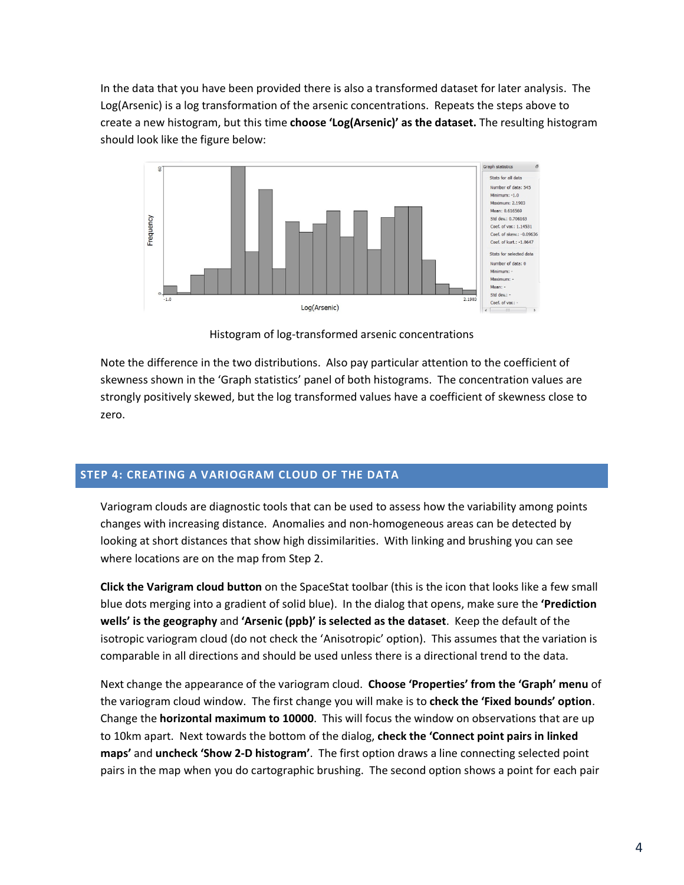In the data that you have been provided there is also a transformed dataset for later analysis. The Log(Arsenic) is a log transformation of the arsenic concentrations. Repeats the steps above to create a new histogram, but this time **choose 'Log(Arsenic)' as the dataset.** The resulting histogram should look like the figure below:



Histogram of log-transformed arsenic concentrations

Note the difference in the two distributions. Also pay particular attention to the coefficient of skewness shown in the 'Graph statistics' panel of both histograms. The concentration values are strongly positively skewed, but the log transformed values have a coefficient of skewness close to zero.

# **STEP 4: CREATING A VARIOGRAM CLOUD OF THE DATA**

Variogram clouds are diagnostic tools that can be used to assess how the variability among points changes with increasing distance. Anomalies and non-homogeneous areas can be detected by looking at short distances that show high dissimilarities. With linking and brushing you can see where locations are on the map from Step 2.

**Click the Varigram cloud button** on the SpaceStat toolbar (this is the icon that looks like a few small blue dots merging into a gradient of solid blue). In the dialog that opens, make sure the **'Prediction wells' is the geography** and **'Arsenic (ppb)' is selected as the dataset**. Keep the default of the isotropic variogram cloud (do not check the 'Anisotropic' option). This assumes that the variation is comparable in all directions and should be used unless there is a directional trend to the data.

Next change the appearance of the variogram cloud. **Choose 'Properties' from the 'Graph' menu** of the variogram cloud window. The first change you will make is to **check the 'Fixed bounds' option**. Change the **horizontal maximum to 10000**. This will focus the window on observations that are up to 10km apart. Next towards the bottom of the dialog, **check the 'Connect point pairs in linked maps'** and **uncheck 'Show 2-D histogram'**. The first option draws a line connecting selected point pairs in the map when you do cartographic brushing. The second option shows a point for each pair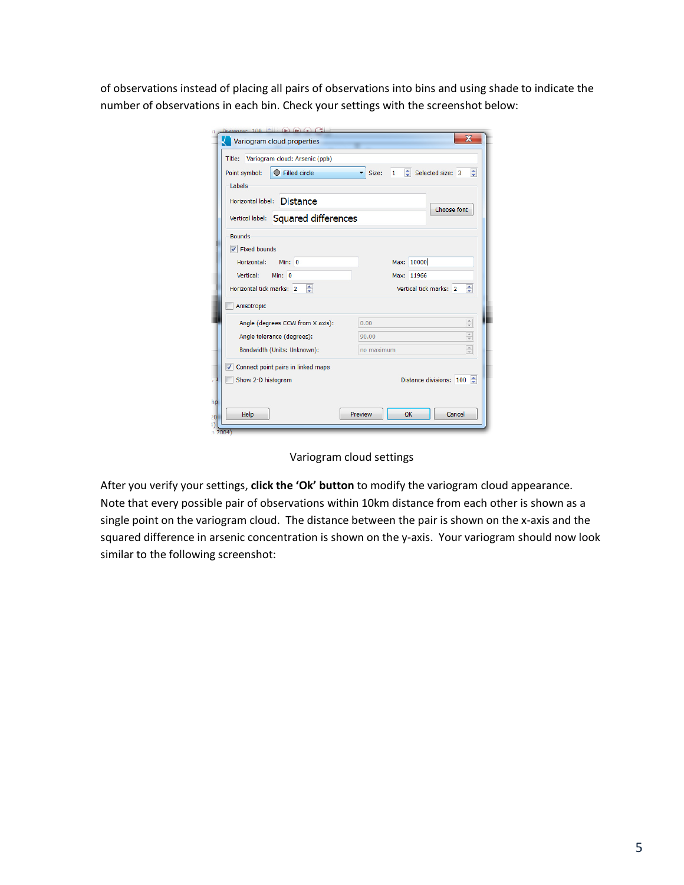of observations instead of placing all pairs of observations into bins and using shade to indicate the number of observations in each bin. Check your settings with the screenshot below:

| Title: Variogram cloud: Arsenic (ppb) |                                                                             |
|---------------------------------------|-----------------------------------------------------------------------------|
| C Filled circle<br>Point symbol:      | Selected size: 3<br>$\div$<br>Size:<br>$\mathbf{1}$<br>$\blacktriangledown$ |
| Labels                                |                                                                             |
| Horizontal label: Distance            | Choose font                                                                 |
| Vertical label: Squared differences   |                                                                             |
| <b>Bounds</b>                         |                                                                             |
| V Fixed bounds                        |                                                                             |
| Horizontal: Min: 0                    | Max: 10000                                                                  |
| Vertical:<br>Min: $0$                 | Max: 11966                                                                  |
| 측<br>Horizontal tick marks: 2         | ÷<br>Vertical tick marks: 2                                                 |
| Anisotropic                           |                                                                             |
| Angle (degrees CCW from X axis):      | $\frac{\triangle}{\mathbf{v}}$<br>0.00                                      |
| Angle tolerance (degrees):            | $\frac{\triangle}{\mathbf{v}}$<br>90.00                                     |
| Bandwidth (Units: Unknown):           | $\frac{\triangle}{\mathbf{v}}$<br>no maximum                                |
| √ Connect point pairs in linked maps  |                                                                             |
| Show 2-D histogram                    | ≜<br>Distance divisions: 100                                                |
|                                       |                                                                             |

Variogram cloud settings

After you verify your settings, **click the 'Ok' button** to modify the variogram cloud appearance. Note that every possible pair of observations within 10km distance from each other is shown as a single point on the variogram cloud. The distance between the pair is shown on the x-axis and the squared difference in arsenic concentration is shown on the y-axis. Your variogram should now look similar to the following screenshot: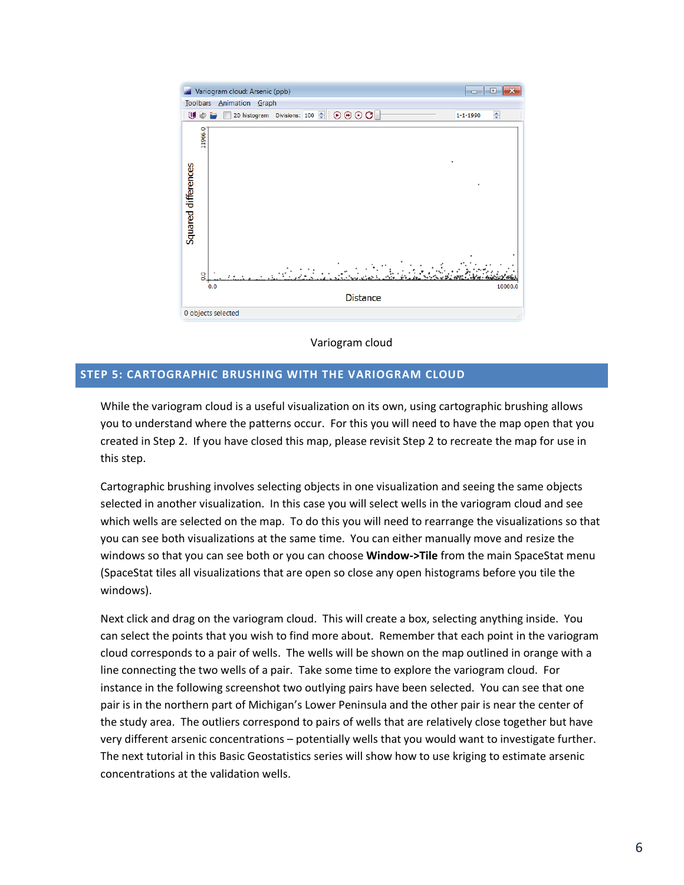

Variogram cloud

### **STEP 5: CARTOGRAPHIC BRUSHING WITH THE VARIOGRAM CLOUD**

While the variogram cloud is a useful visualization on its own, using cartographic brushing allows you to understand where the patterns occur. For this you will need to have the map open that you created in Step 2. If you have closed this map, please revisit Step 2 to recreate the map for use in this step.

Cartographic brushing involves selecting objects in one visualization and seeing the same objects selected in another visualization. In this case you will select wells in the variogram cloud and see which wells are selected on the map. To do this you will need to rearrange the visualizations so that you can see both visualizations at the same time. You can either manually move and resize the windows so that you can see both or you can choose **Window->Tile** from the main SpaceStat menu (SpaceStat tiles all visualizations that are open so close any open histograms before you tile the windows).

Next click and drag on the variogram cloud. This will create a box, selecting anything inside. You can select the points that you wish to find more about. Remember that each point in the variogram cloud corresponds to a pair of wells. The wells will be shown on the map outlined in orange with a line connecting the two wells of a pair. Take some time to explore the variogram cloud. For instance in the following screenshot two outlying pairs have been selected. You can see that one pair is in the northern part of Michigan's Lower Peninsula and the other pair is near the center of the study area. The outliers correspond to pairs of wells that are relatively close together but have very different arsenic concentrations – potentially wells that you would want to investigate further. The next tutorial in this Basic Geostatistics series will show how to use kriging to estimate arsenic concentrations at the validation wells.